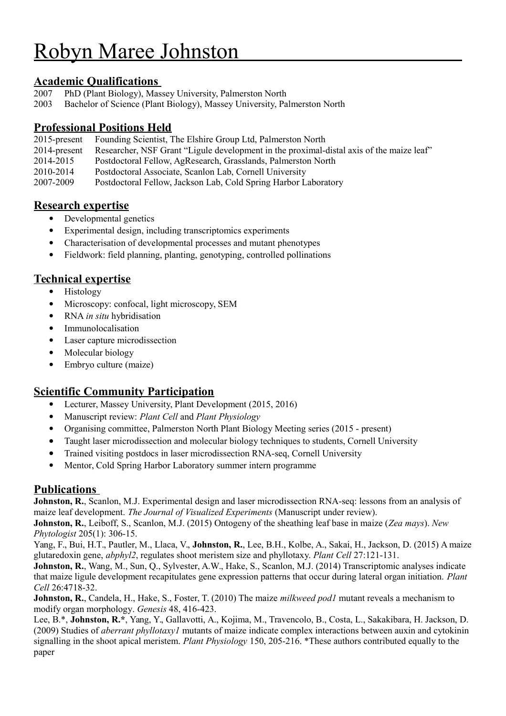# Robyn Maree Johnston

# **Academic Qualifications**

- 2007 PhD (Plant Biology), Massey University, Palmerston North
- 2003 Bachelor of Science (Plant Biology), Massey University, Palmerston North

## **Professional Positions Held**

- 2015-present Founding Scientist, The Elshire Group Ltd, Palmerston North
- 2014-present Researcher, NSF Grant "Ligule development in the proximal-distal axis of the maize leaf"
- 2014-2015 Postdoctoral Fellow, AgResearch, Grasslands, Palmerston North
- 2010-2014 Postdoctoral Associate, Scanlon Lab, Cornell University

2007-2009 Postdoctoral Fellow, Jackson Lab, Cold Spring Harbor Laboratory

## **Research expertise**

- Developmental genetics
- Experimental design, including transcriptomics experiments
- Characterisation of developmental processes and mutant phenotypes
- Fieldwork: field planning, planting, genotyping, controlled pollinations

## **Technical expertise**

- Histology
- Microscopy: confocal, light microscopy, SEM
- RNA *in situ* hybridisation
- Immunolocalisation
- Laser capture microdissection
- Molecular biology
- Embryo culture (maize)

# **Scientific Community Participation**

- Lecturer, Massey University, Plant Development (2015, 2016)
- Manuscript review: *Plant Cell* and *Plant Physiology*
- Organising committee, Palmerston North Plant Biology Meeting series (2015 present)
- Taught laser microdissection and molecular biology techniques to students, Cornell University
- Trained visiting postdocs in laser microdissection RNA-seq, Cornell University
- Mentor, Cold Spring Harbor Laboratory summer intern programme

#### **Publications**

**Johnston, R.**, Scanlon, M.J. Experimental design and laser microdissection RNA-seq: lessons from an analysis of maize leaf development. *The Journal of Visualized Experiments* (Manuscript under review).

**Johnston, R.**, Leiboff, S., Scanlon, M.J. (2015) Ontogeny of the sheathing leaf base in maize (*Zea mays*). *New Phytologist* 205(1): 306-15.

Yang, F., Bui, H.T., Pautler, M., Llaca, V., **Johnston, R.**, Lee, B.H., Kolbe, A., Sakai, H., Jackson, D. (2015) A maize glutaredoxin gene, *abphyl2*, regulates shoot meristem size and phyllotaxy. *Plant Cell* 27:121-131.

**Johnston, R.**, Wang, M., Sun, Q., Sylvester, A.W., Hake, S., Scanlon, M.J. (2014) Transcriptomic analyses indicate that maize ligule development recapitulates gene expression patterns that occur during lateral organ initiation. *Plant Cell* 26:4718-32.

**Johnston, R.**, Candela, H., Hake, S., Foster, T. (2010) The maize *milkweed pod1* mutant reveals a mechanism to modify organ morphology. *Genesis* 48, 416-423.

Lee, B.\*, **Johnston, R.\***, Yang, Y., Gallavotti, A., Kojima, M., Travencolo, B., Costa, L., Sakakibara, H. Jackson, D. (2009) Studies of *aberrant phyllotaxy1* mutants of maize indicate complex interactions between auxin and cytokinin signalling in the shoot apical meristem. *Plant Physiology* 150, 205-216. \*These authors contributed equally to the paper